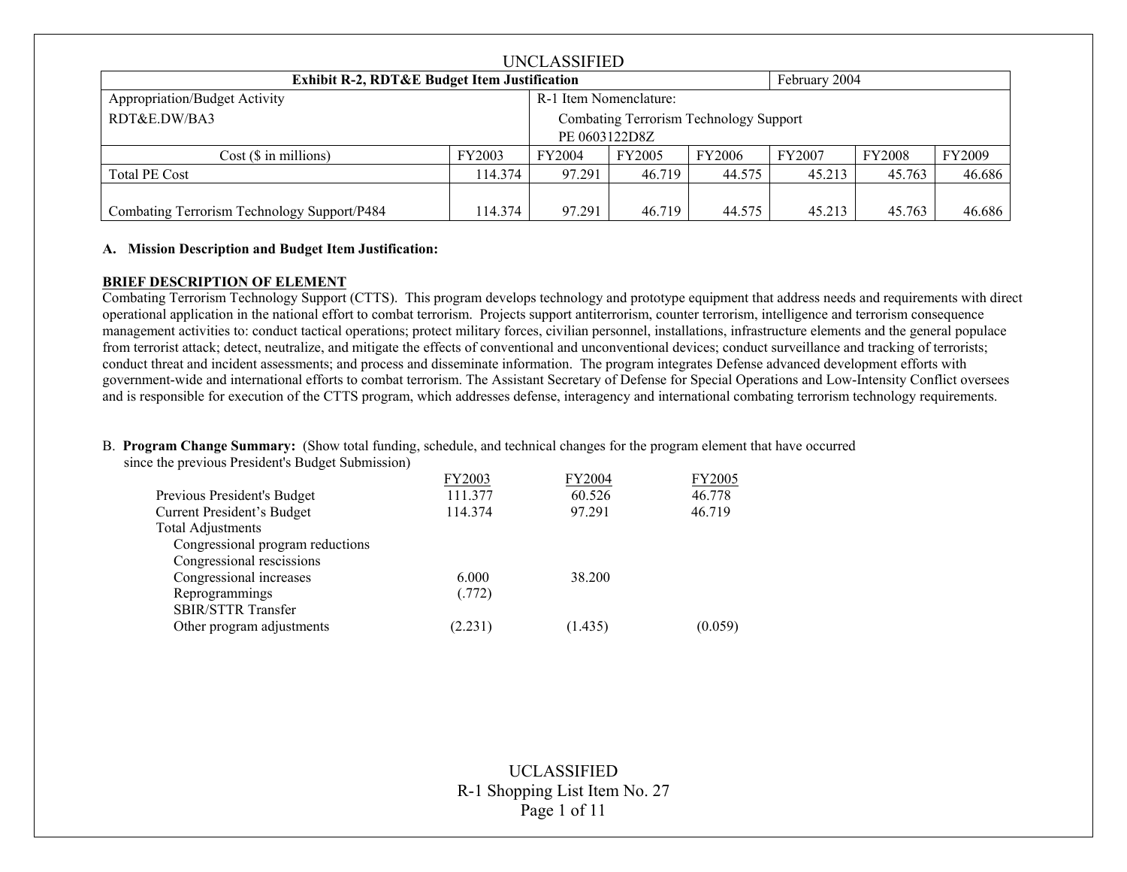| UNCLASSIFIED                                            |         |        |                                        |               |               |               |               |
|---------------------------------------------------------|---------|--------|----------------------------------------|---------------|---------------|---------------|---------------|
| <b>Exhibit R-2, RDT&amp;E Budget Item Justification</b> |         |        |                                        |               | February 2004 |               |               |
| Appropriation/Budget Activity<br>R-1 Item Nomenclature: |         |        |                                        |               |               |               |               |
| RDT&E,DW/BA3                                            |         |        | Combating Terrorism Technology Support |               |               |               |               |
| PE 0603122D8Z                                           |         |        |                                        |               |               |               |               |
| $Cost$ ( $\$\$ in millions)                             | FY2003  | FY2004 | <b>FY2005</b>                          | <b>FY2006</b> | FY2007        | <b>FY2008</b> | <b>FY2009</b> |
| <b>Total PE Cost</b>                                    | 114.374 | 97.291 | 46.719                                 | 44.575        | 45.213        | 45.763        | 46.686        |
|                                                         |         |        |                                        |               |               |               |               |
| Combating Terrorism Technology Support/P484             | 114.374 | 97.291 | 46.719                                 | 44.575        | 45.213        | 45.763        | 46.686        |

## **A. Mission Description and Budget Item Justification:**

### **BRIEF DESCRIPTION OF ELEMENT**

Combating Terrorism Technology Support (CTTS). This program develops technology and prototype equipment that address needs and requirements with direct operational application in the national effort to combat terrorism. Projects support antiterrorism, counter terrorism, intelligence and terrorism consequence management activities to: conduct tactical operations; protect military forces, civilian personnel, installations, infrastructure elements and the general populace from terrorist attack; detect, neutralize, and mitigate the effects of conventional and unconventional devices; conduct surveillance and tracking of terrorists; conduct threat and incident assessments; and process and disseminate information. The program integrates Defense advanced development efforts with government-wide and international efforts to combat terrorism. The Assistant Secretary of Defense for Special Operations and Low-Intensity Conflict oversees and is responsible for execution of the CTTS program, which addresses defense, interagency and international combating terrorism technology requirements.

B. **Program Change Summary:** (Show total funding, schedule, and technical changes for the program element that have occurred

since the previous President's Budget Submission)

|                                  | FY2003  | FY2004  | <b>FY2005</b> |
|----------------------------------|---------|---------|---------------|
| Previous President's Budget      | 111.377 | 60.526  | 46.778        |
| Current President's Budget       | 114.374 | 97.291  | 46.719        |
| <b>Total Adjustments</b>         |         |         |               |
| Congressional program reductions |         |         |               |
| Congressional rescissions        |         |         |               |
| Congressional increases          | 6.000   | 38.200  |               |
| Reprogrammings                   | (.772)  |         |               |
| <b>SBIR/STTR Transfer</b>        |         |         |               |
| Other program adjustments        | (2.231) | (1.435) | (0.059)       |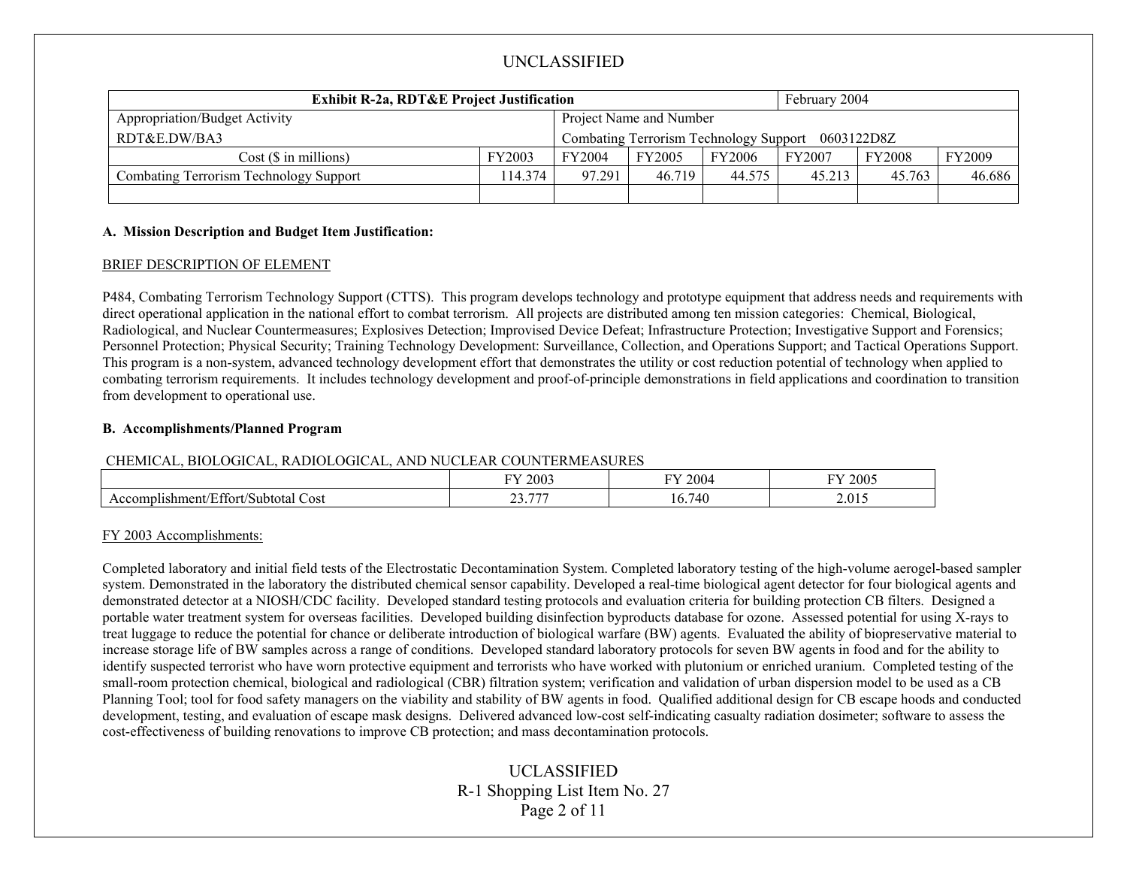| <b>Exhibit R-2a, RDT&amp;E Project Justification</b>            |                                                   |        | February 2004 |        |               |               |        |
|-----------------------------------------------------------------|---------------------------------------------------|--------|---------------|--------|---------------|---------------|--------|
| Project Name and Number<br><b>Appropriation/Budget Activity</b> |                                                   |        |               |        |               |               |        |
| RDT&E.DW/BA3                                                    | Combating Terrorism Technology Support 0603122D8Z |        |               |        |               |               |        |
| Cost(S in millions)                                             | FY2003                                            | FY2004 | <b>FY2005</b> | FY2006 | <b>FY2007</b> | <b>FY2008</b> | FY2009 |
| Combating Terrorism Technology Support                          | 14.374                                            | 97.291 | 46.719        | 44.575 | 45.213        | 45.763        | 46.686 |
|                                                                 |                                                   |        |               |        |               |               |        |

## **A. Mission Description and Budget Item Justification:**

### BRIEF DESCRIPTION OF ELEMENT

P484, Combating Terrorism Technology Support (CTTS). This program develops technology and prototype equipment that address needs and requirements with direct operational application in the national effort to combat terrorism. All projects are distributed among ten mission categories: Chemical, Biological, Radiological, and Nuclear Countermeasures; Explosives Detection; Improvised Device Defeat; Infrastructure Protection; Investigative Support and Forensics; Personnel Protection; Physical Security; Training Technology Development: Surveillance, Collection, and Operations Support; and Tactical Operations Support. This program is a non-system, advanced technology development effort that demonstrates the utility or cost reduction potential of technology when applied to combating terrorism requirements. It includes technology development and proof-of-principle demonstrations in field applications and coordination to transition from development to operational use.

#### **B. Accomplishments/Planned Program**

#### CHEMICAL, BIOLOGICAL, RADIOLOGICAL, AND NUCLEAR COUNTERMEASURES

|                                                        | 2003                   | $\mathbf{H}$     | 2005  |
|--------------------------------------------------------|------------------------|------------------|-------|
|                                                        | <b>TV</b>              | 2004             | гv,   |
| $\sim$<br>Cost<br>shment/<br>'Subtotal<br>ttort/<br>١Г | $\sim$<br>H H H<br>--- | -<br>740<br>. v. | 2.015 |

## FY 2003 Accomplishments:

Completed laboratory and initial field tests of the Electrostatic Decontamination System. Completed laboratory testing of the high-volume aerogel-based sampler system. Demonstrated in the laboratory the distributed chemical sensor capability. Developed a real-time biological agent detector for four biological agents and demonstrated detector at a NIOSH/CDC facility. Developed standard testing protocols and evaluation criteria for building protection CB filters. Designed a portable water treatment system for overseas facilities. Developed building disinfection byproducts database for ozone. Assessed potential for using X-rays to treat luggage to reduce the potential for chance or deliberate introduction of biological warfare (BW) agents. Evaluated the ability of biopreservative material to increase storage life of BW samples across a range of conditions. Developed standard laboratory protocols for seven BW agents in food and for the ability to identify suspected terrorist who have worn protective equipment and terrorists who have worked with plutonium or enriched uranium. Completed testing of the small-room protection chemical, biological and radiological (CBR) filtration system; verification and validation of urban dispersion model to be used as a CB Planning Tool; tool for food safety managers on the viability and stability of BW agents in food. Qualified additional design for CB escape hoods and conducted development, testing, and evaluation of escape mask designs. Delivered advanced low-cost self-indicating casualty radiation dosimeter; software to assess the cost-effectiveness of building renovations to improve CB protection; and mass decontamination protocols.

# UCLASSIFIED R-1 Shopping List Item No. 27 Page 2 of 11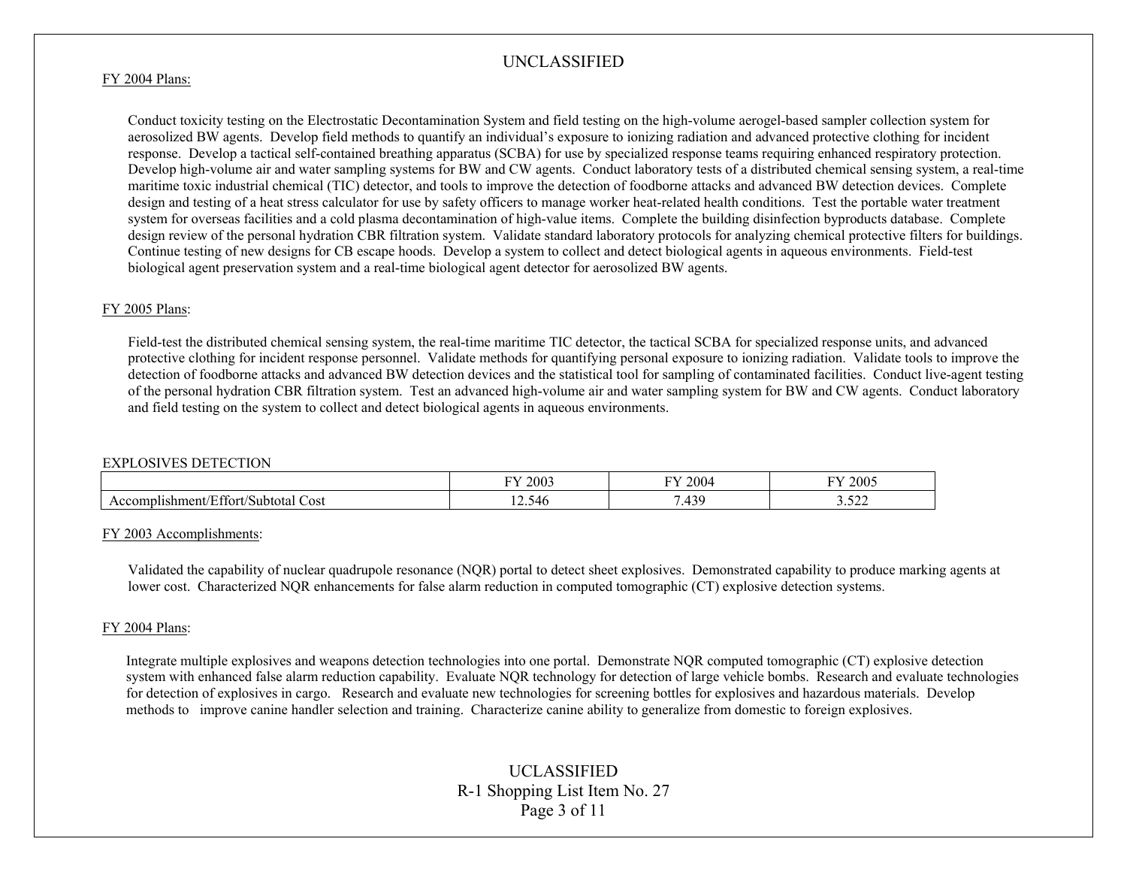#### FY 2004 Plans:

Conduct toxicity testing on the Electrostatic Decontamination System and field testing on the high-volume aerogel-based sampler collection system for aerosolized BW agents. Develop field methods to quantify an individual's exposure to ionizing radiation and advanced protective clothing for incident response. Develop a tactical self-contained breathing apparatus (SCBA) for use by specialized response teams requiring enhanced respiratory protection. Develop high-volume air and water sampling systems for BW and CW agents. Conduct laboratory tests of a distributed chemical sensing system, a real-time maritime toxic industrial chemical (TIC) detector, and tools to improve the detection of foodborne attacks and advanced BW detection devices. Complete design and testing of a heat stress calculator for use by safety officers to manage worker heat-related health conditions. Test the portable water treatment system for overseas facilities and a cold plasma decontamination of high-value items. Complete the building disinfection byproducts database. Complete design review of the personal hydration CBR filtration system. Validate standard laboratory protocols for analyzing chemical protective filters for buildings. Continue testing of new designs for CB escape hoods. Develop a system to collect and detect biological agents in aqueous environments. Field-test biological agent preservation system and a real-time biological agent detector for aerosolized BW agents.

## FY 2005 Plans:

Field-test the distributed chemical sensing system, the real-time maritime TIC detector, the tactical SCBA for specialized response units, and advanced protective clothing for incident response personnel. Validate methods for quantifying personal exposure to ionizing radiation. Validate tools to improve the detection of foodborne attacks and advanced BW detection devices and the statistical tool for sampling of contaminated facilities. Conduct live-agent testing of the personal hydration CBR filtration system. Test an advanced high-volume air and water sampling system for BW and CW agents. Conduct laboratory and field testing on the system to collect and detect biological agents in aqueous environments.

#### EXPLOSIVES DETECTION

|                                                       | 2003             | $200-$<br>T T T     | 2005<br>гτ                     |
|-------------------------------------------------------|------------------|---------------------|--------------------------------|
| $\sim$<br>Cost<br>hment<br>`ubtotai<br>:tort<br>ונוור | $\sim$<br>12.546 | $\overline{A}$<br>. | $\sim$ $\sim$ $\sim$<br>ے بے ر |

#### FY 2003 Accomplishments:

Validated the capability of nuclear quadrupole resonance (NQR) portal to detect sheet explosives. Demonstrated capability to produce marking agents at lower cost. Characterized NQR enhancements for false alarm reduction in computed tomographic (CT) explosive detection systems.

#### FY 2004 Plans:

Integrate multiple explosives and weapons detection technologies into one portal. Demonstrate NQR computed tomographic (CT) explosive detection system with enhanced false alarm reduction capability. Evaluate NQR technology for detection of large vehicle bombs. Research and evaluate technologies for detection of explosives in cargo. Research and evaluate new technologies for screening bottles for explosives and hazardous materials. Develop methods to improve canine handler selection and training. Characterize canine ability to generalize from domestic to foreign explosives.

# UCLASSIFIED R-1 Shopping List Item No. 27 Page 3 of 11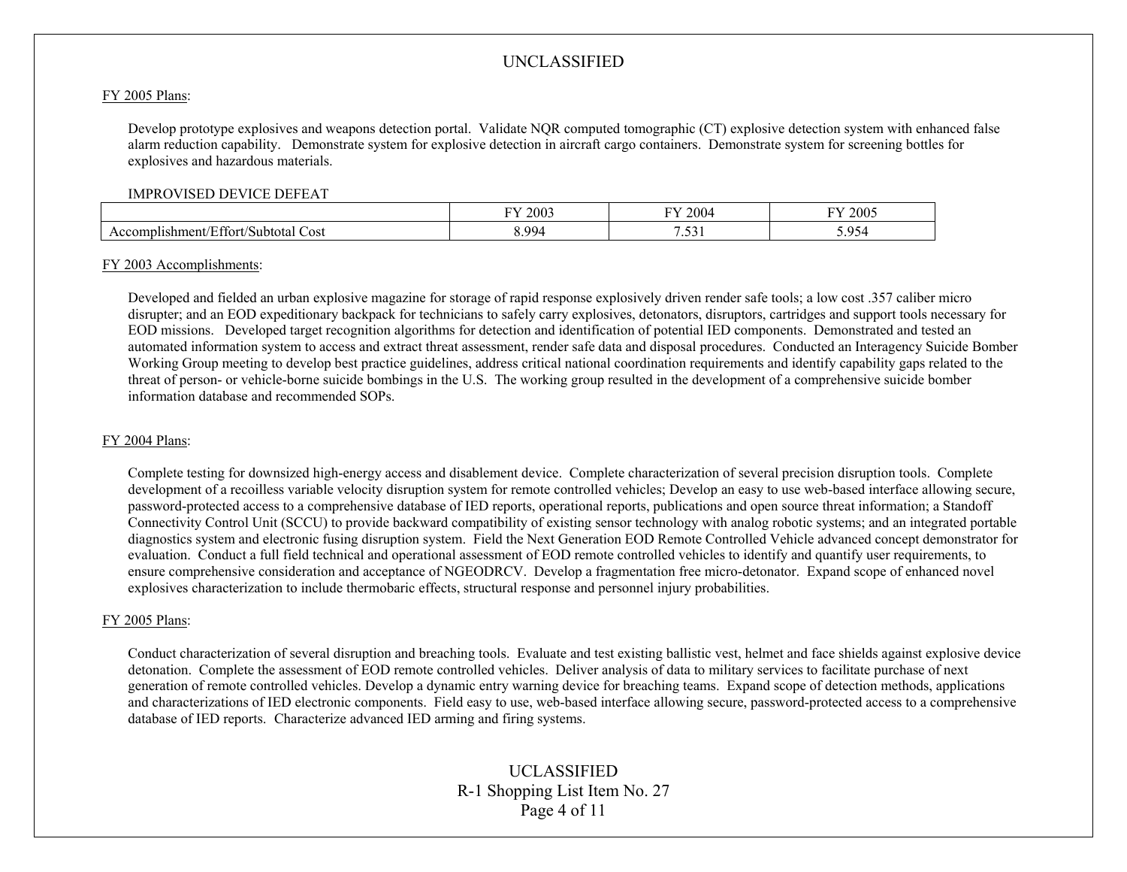#### FY 2005 Plans:

Develop prototype explosives and weapons detection portal. Validate NQR computed tomographic (CT) explosive detection system with enhanced false alarm reduction capability. Demonstrate system for explosive detection in aircraft cargo containers. Demonstrate system for screening bottles for explosives and hazardous materials.

#### IMPROVISED DEVICE DEFEAT

|                                                                     | $\mathbf{r}$<br>$\Omega$<br>ZUU2 | 200<br>$- - -$              | 200 <sup>2</sup>             |
|---------------------------------------------------------------------|----------------------------------|-----------------------------|------------------------------|
| $\sim$<br>.shm<br>Cost<br>$"$ eni.<br>Subtotal<br>∩n<br>١r<br>:tort | QQ<br>$\sim$                     | $\sim$<br>$\cdot\, \cdot\,$ | 15 <sub>4</sub><br>$\ddotsc$ |

#### FY 2003 Accomplishments:

Developed and fielded an urban explosive magazine for storage of rapid response explosively driven render safe tools; a low cost .357 caliber micro disrupter; and an EOD expeditionary backpack for technicians to safely carry explosives, detonators, disruptors, cartridges and support tools necessary for EOD missions. Developed target recognition algorithms for detection and identification of potential IED components. Demonstrated and tested an automated information system to access and extract threat assessment, render safe data and disposal procedures. Conducted an Interagency Suicide Bomber Working Group meeting to develop best practice guidelines, address critical national coordination requirements and identify capability gaps related to the threat of person- or vehicle-borne suicide bombings in the U.S. The working group resulted in the development of a comprehensive suicide bomber information database and recommended SOPs.

#### FY 2004 Plans:

Complete testing for downsized high-energy access and disablement device. Complete characterization of several precision disruption tools. Complete development of a recoilless variable velocity disruption system for remote controlled vehicles; Develop an easy to use web-based interface allowing secure, password-protected access to a comprehensive database of IED reports, operational reports, publications and open source threat information; a Standoff Connectivity Control Unit (SCCU) to provide backward compatibility of existing sensor technology with analog robotic systems; and an integrated portable diagnostics system and electronic fusing disruption system. Field the Next Generation EOD Remote Controlled Vehicle advanced concept demonstrator for evaluation. Conduct a full field technical and operational assessment of EOD remote controlled vehicles to identify and quantify user requirements, to ensure comprehensive consideration and acceptance of NGEODRCV. Develop a fragmentation free micro-detonator. Expand scope of enhanced novel explosives characterization to include thermobaric effects, structural response and personnel injury probabilities.

#### FY 2005 Plans:

Conduct characterization of several disruption and breaching tools. Evaluate and test existing ballistic vest, helmet and face shields against explosive device detonation. Complete the assessment of EOD remote controlled vehicles. Deliver analysis of data to military services to facilitate purchase of next generation of remote controlled vehicles. Develop a dynamic entry warning device for breaching teams. Expand scope of detection methods, applications and characterizations of IED electronic components. Field easy to use, web-based interface allowing secure, password-protected access to a comprehensive database of IED reports. Characterize advanced IED arming and firing systems.

# UCLASSIFIED R-1 Shopping List Item No. 27 Page 4 of 11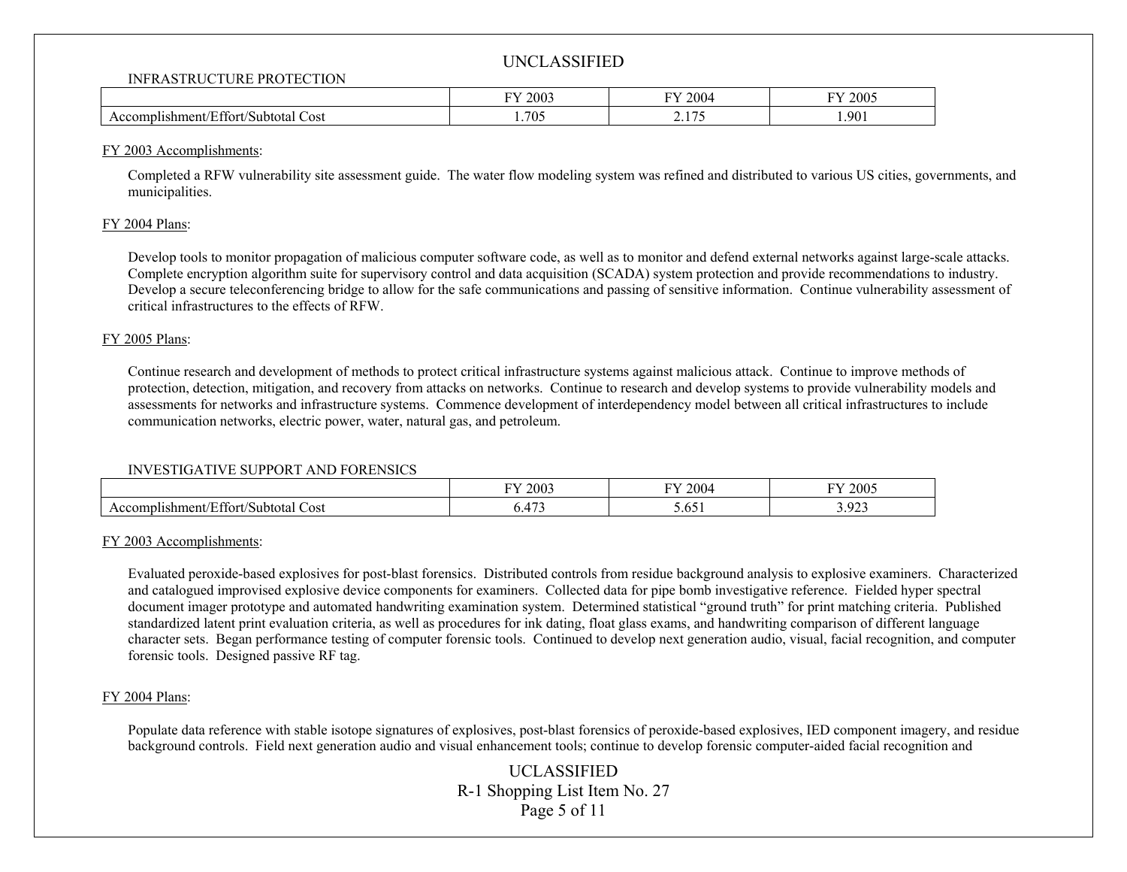#### INFRASTRUCTURE PROTECTION

|                                                                     | 2003  | 2004            | 2005  |
|---------------------------------------------------------------------|-------|-----------------|-------|
|                                                                     | T T T | T T T           | гτ    |
| Effort/Subtotal<br>$\sqrt{2}$<br>Cost<br>$1$ shment/<br>$\sim$ 100. | .705  | $-$<br><u>.</u> | 1.901 |

#### FY 2003 Accomplishments:

Completed a RFW vulnerability site assessment guide. The water flow modeling system was refined and distributed to various US cities, governments, and municipalities.

### FY 2004 Plans:

Develop tools to monitor propagation of malicious computer software code, as well as to monitor and defend external networks against large-scale attacks. Complete encryption algorithm suite for supervisory control and data acquisition (SCADA) system protection and provide recommendations to industry. Develop a secure teleconferencing bridge to allow for the safe communications and passing of sensitive information. Continue vulnerability assessment of critical infrastructures to the effects of RFW.

### FY 2005 Plans:

Continue research and development of methods to protect critical infrastructure systems against malicious attack. Continue to improve methods of protection, detection, mitigation, and recovery from attacks on networks. Continue to research and develop systems to provide vulnerability models and assessments for networks and infrastructure systems. Commence development of interdependency model between all critical infrastructures to include communication networks, electric power, water, natural gas, and petroleum.

## INVESTIGATIVE SUPPORT AND FORENSICS

|                                                                | FY 2003                         | <sup>v</sup> Y 2004        | 2005<br>.                       |
|----------------------------------------------------------------|---------------------------------|----------------------------|---------------------------------|
| Effort/Subtotal<br>$\sqrt{2}$<br>Cost<br>IIshment/I<br>,,,,,,, | $\overline{1}$<br><u>v. 175</u> | $\epsilon$<br><u>J.VJI</u> | $\Omega$<br>ч.<br>J.J <i>LJ</i> |

## FY 2003 Accomplishments:

Evaluated peroxide-based explosives for post-blast forensics. Distributed controls from residue background analysis to explosive examiners. Characterized and catalogued improvised explosive device components for examiners. Collected data for pipe bomb investigative reference. Fielded hyper spectral document imager prototype and automated handwriting examination system. Determined statistical "ground truth" for print matching criteria. Published standardized latent print evaluation criteria, as well as procedures for ink dating, float glass exams, and handwriting comparison of different language character sets. Began performance testing of computer forensic tools. Continued to develop next generation audio, visual, facial recognition, and computer forensic tools. Designed passive RF tag.

## FY 2004 Plans:

Populate data reference with stable isotope signatures of explosives, post-blast forensics of peroxide-based explosives, IED component imagery, and residue background controls. Field next generation audio and visual enhancement tools; continue to develop forensic computer-aided facial recognition and

> UCLASSIFIED R-1 Shopping List Item No. 27 Page 5 of 11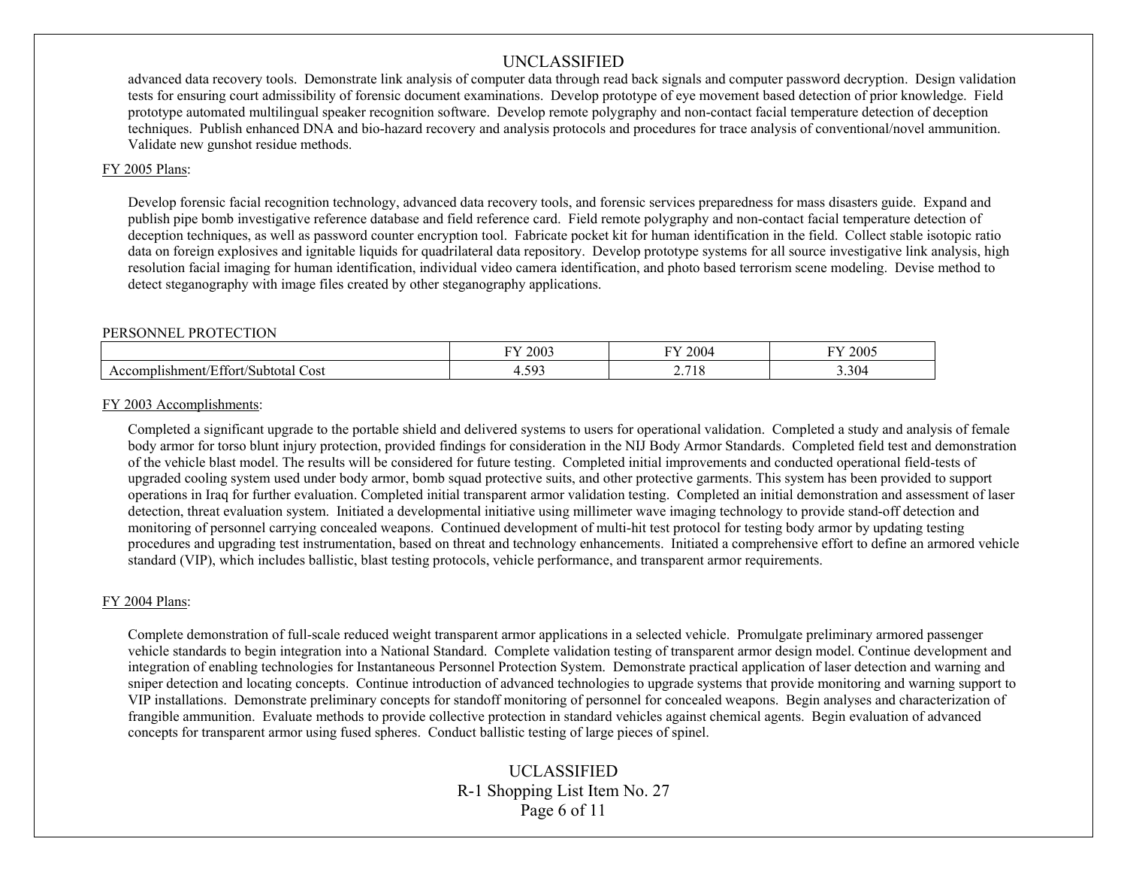advanced data recovery tools. Demonstrate link analysis of computer data through read back signals and computer password decryption. Design validation tests for ensuring court admissibility of forensic document examinations. Develop prototype of eye movement based detection of prior knowledge. Field prototype automated multilingual speaker recognition software. Develop remote polygraphy and non-contact facial temperature detection of deception techniques. Publish enhanced DNA and bio-hazard recovery and analysis protocols and procedures for trace analysis of conventional/novel ammunition. Validate new gunshot residue methods.

### FY 2005 Plans:

Develop forensic facial recognition technology, advanced data recovery tools, and forensic services preparedness for mass disasters guide. Expand and publish pipe bomb investigative reference database and field reference card. Field remote polygraphy and non-contact facial temperature detection of deception techniques, as well as password counter encryption tool. Fabricate pocket kit for human identification in the field. Collect stable isotopic ratio data on foreign explosives and ignitable liquids for quadrilateral data repository. Develop prototype systems for all source investigative link analysis, high resolution facial imaging for human identification, individual video camera identification, and photo based terrorism scene modeling. Devise method to detect steganography with image files created by other steganography applications.

#### PERSONNEL PROTECTION

|                                                                 | <b>TV</b>               | T T                          | 2005  |
|-----------------------------------------------------------------|-------------------------|------------------------------|-------|
|                                                                 | 2003                    | $200-$                       | EV.   |
| $\sim$<br>-<br>Cost<br>'Subtotal<br>complishment/Effort/<br>Acc | $\sim$ $\sim$<br>.<br>. | 71C<br><b>10</b><br><u>.</u> | 3.304 |

### FY 2003 Accomplishments:

Completed a significant upgrade to the portable shield and delivered systems to users for operational validation. Completed a study and analysis of female body armor for torso blunt injury protection, provided findings for consideration in the NIJ Body Armor Standards. Completed field test and demonstration of the vehicle blast model. The results will be considered for future testing. Completed initial improvements and conducted operational field-tests of upgraded cooling system used under body armor, bomb squad protective suits, and other protective garments. This system has been provided to support operations in Iraq for further evaluation. Completed initial transparent armor validation testing. Completed an initial demonstration and assessment of laser detection, threat evaluation system. Initiated a developmental initiative using millimeter wave imaging technology to provide stand-off detection and monitoring of personnel carrying concealed weapons. Continued development of multi-hit test protocol for testing body armor by updating testing procedures and upgrading test instrumentation, based on threat and technology enhancements. Initiated a comprehensive effort to define an armored vehicle standard (VIP), which includes ballistic, blast testing protocols, vehicle performance, and transparent armor requirements.

## FY 2004 Plans:

Complete demonstration of full-scale reduced weight transparent armor applications in a selected vehicle. Promulgate preliminary armored passenger vehicle standards to begin integration into a National Standard. Complete validation testing of transparent armor design model. Continue development and integration of enabling technologies for Instantaneous Personnel Protection System. Demonstrate practical application of laser detection and warning and sniper detection and locating concepts. Continue introduction of advanced technologies to upgrade systems that provide monitoring and warning support to VIP installations. Demonstrate preliminary concepts for standoff monitoring of personnel for concealed weapons. Begin analyses and characterization of frangible ammunition. Evaluate methods to provide collective protection in standard vehicles against chemical agents. Begin evaluation of advanced concepts for transparent armor using fused spheres. Conduct ballistic testing of large pieces of spinel.

# UCLASSIFIED R-1 Shopping List Item No. 27 Page 6 of 11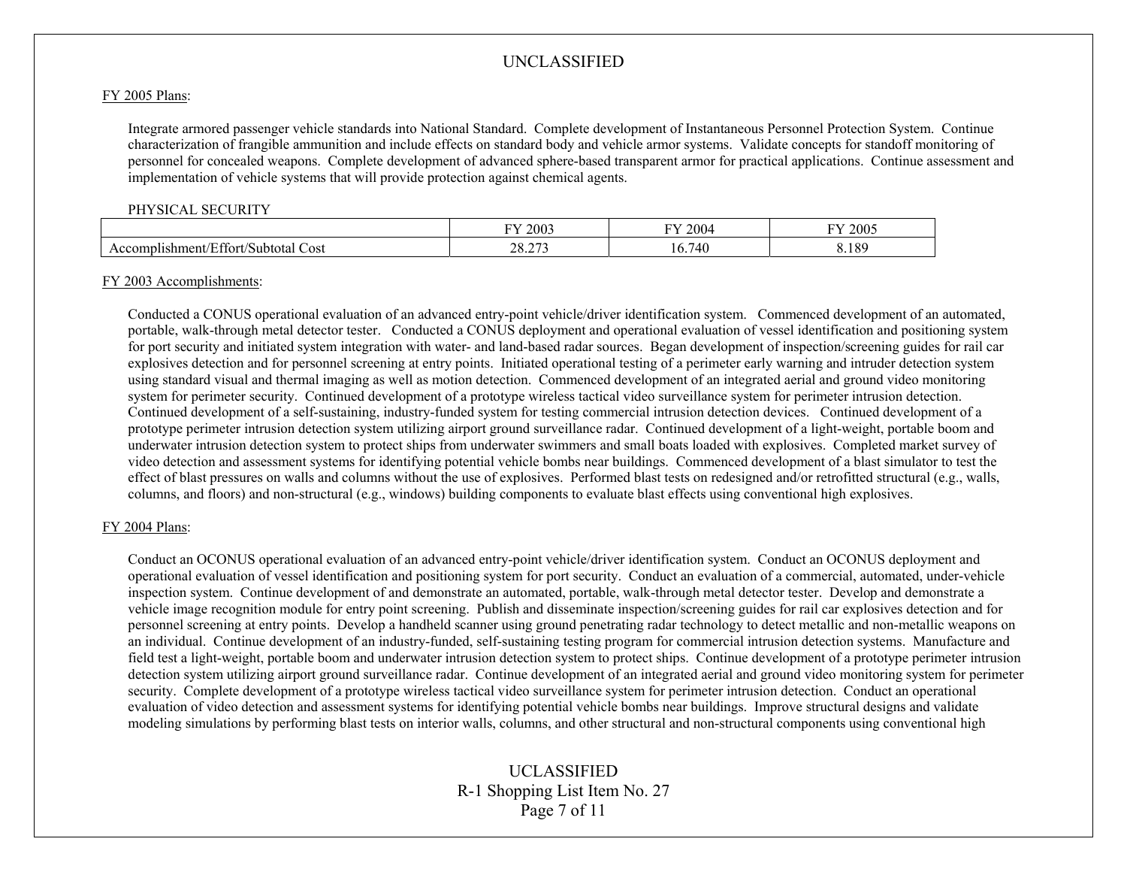#### FY 2005 Plans:

Integrate armored passenger vehicle standards into National Standard. Complete development of Instantaneous Personnel Protection System. Continue characterization of frangible ammunition and include effects on standard body and vehicle armor systems. Validate concepts for standoff monitoring of personnel for concealed weapons. Complete development of advanced sphere-based transparent armor for practical applications. Continue assessment and implementation of vehicle systems that will provide protection against chemical agents.

#### PHYSICAL SECURITY

|                                               | $-1$<br>2003                      | 2004<br>T | 2005            |
|-----------------------------------------------|-----------------------------------|-----------|-----------------|
| Cost<br>lishment/<br>∸ttori.<br>Subtotal<br>л | $\sim$ $\sim$ $\sim$<br>ററ<br>້⇔ີ | 741       | 18 <sup>c</sup> |

#### FY 2003 Accomplishments:

Conducted a CONUS operational evaluation of an advanced entry-point vehicle/driver identification system. Commenced development of an automated, portable, walk-through metal detector tester. Conducted a CONUS deployment and operational evaluation of vessel identification and positioning system for port security and initiated system integration with water- and land-based radar sources. Began development of inspection/screening guides for rail car explosives detection and for personnel screening at entry points. Initiated operational testing of a perimeter early warning and intruder detection system using standard visual and thermal imaging as well as motion detection. Commenced development of an integrated aerial and ground video monitoring system for perimeter security. Continued development of a prototype wireless tactical video surveillance system for perimeter intrusion detection. Continued development of a self-sustaining, industry-funded system for testing commercial intrusion detection devices. Continued development of a prototype perimeter intrusion detection system utilizing airport ground surveillance radar. Continued development of a light-weight, portable boom and underwater intrusion detection system to protect ships from underwater swimmers and small boats loaded with explosives. Completed market survey of video detection and assessment systems for identifying potential vehicle bombs near buildings. Commenced development of a blast simulator to test the effect of blast pressures on walls and columns without the use of explosives. Performed blast tests on redesigned and/or retrofitted structural (e.g., walls, columns, and floors) and non-structural (e.g., windows) building components to evaluate blast effects using conventional high explosives.

#### FY 2004 Plans:

Conduct an OCONUS operational evaluation of an advanced entry-point vehicle/driver identification system. Conduct an OCONUS deployment and operational evaluation of vessel identification and positioning system for port security. Conduct an evaluation of a commercial, automated, under-vehicle inspection system. Continue development of and demonstrate an automated, portable, walk-through metal detector tester. Develop and demonstrate a vehicle image recognition module for entry point screening. Publish and disseminate inspection/screening guides for rail car explosives detection and for personnel screening at entry points. Develop a handheld scanner using ground penetrating radar technology to detect metallic and non-metallic weapons on an individual. Continue development of an industry-funded, self-sustaining testing program for commercial intrusion detection systems. Manufacture and field test a light-weight, portable boom and underwater intrusion detection system to protect ships. Continue development of a prototype perimeter intrusion detection system utilizing airport ground surveillance radar. Continue development of an integrated aerial and ground video monitoring system for perimeter security. Complete development of a prototype wireless tactical video surveillance system for perimeter intrusion detection. Conduct an operational evaluation of video detection and assessment systems for identifying potential vehicle bombs near buildings. Improve structural designs and validate modeling simulations by performing blast tests on interior walls, columns, and other structural and non-structural components using conventional high

# UCLASSIFIED R-1 Shopping List Item No. 27 Page 7 of 11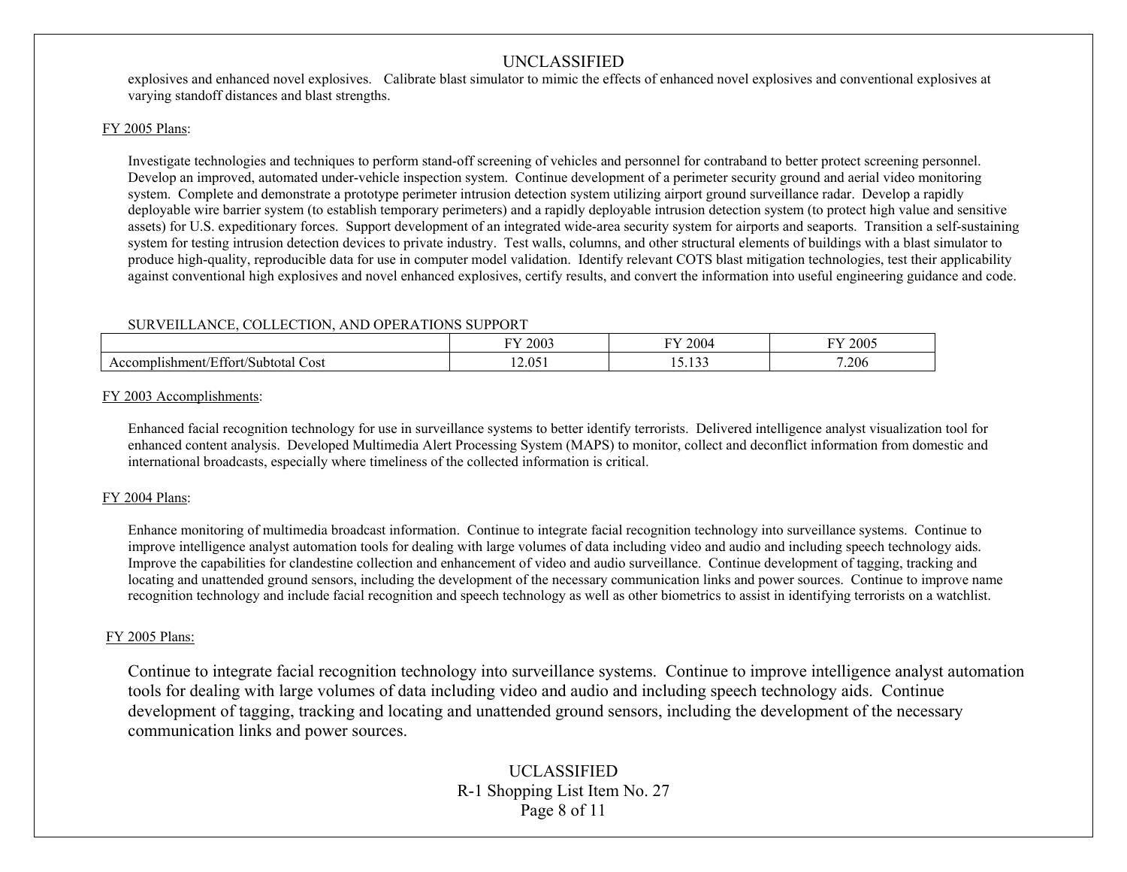explosives and enhanced novel explosives. Calibrate blast simulator to mimic the effects of enhanced novel explosives and conventional explosives at varying standoff distances and blast strengths.

## FY 2005 Plans:

Investigate technologies and techniques to perform stand-off screening of vehicles and personnel for contraband to better protect screening personnel. Develop an improved, automated under-vehicle inspection system. Continue development of a perimeter security ground and aerial video monitoring system. Complete and demonstrate a prototype perimeter intrusion detection system utilizing airport ground surveillance radar. Develop a rapidly deployable wire barrier system (to establish temporary perimeters) and a rapidly deployable intrusion detection system (to protect high value and sensitive assets) for U.S. expeditionary forces. Support development of an integrated wide-area security system for airports and seaports. Transition a self-sustaining system for testing intrusion detection devices to private industry. Test walls, columns, and other structural elements of buildings with a blast simulator to produce high-quality, reproducible data for use in computer model validation. Identify relevant COTS blast mitigation technologies, test their applicability against conventional high explosives and novel enhanced explosives, certify results, and convert the information into useful engineering guidance and code.

## SURVEILLANCE, COLLECTION, AND OPERATIONS SUPPORT

|                                                       | $\nabla$ Y 2003 | $Y_{\rm Y}$ 2004                         | FY 2005 |
|-------------------------------------------------------|-----------------|------------------------------------------|---------|
| :ffort/S<br>Cost<br>Accomp.<br>∤lıshment∕<br>Subtotal | 12.051          | $\sim$ $\sim$ $\sim$<br>$\cdot$ $-$<br>. | 7.206   |

## FY 2003 Accomplishments:

Enhanced facial recognition technology for use in surveillance systems to better identify terrorists. Delivered intelligence analyst visualization tool for enhanced content analysis. Developed Multimedia Alert Processing System (MAPS) to monitor, collect and deconflict information from domestic and international broadcasts, especially where timeliness of the collected information is critical.

## FY 2004 Plans:

Enhance monitoring of multimedia broadcast information. Continue to integrate facial recognition technology into surveillance systems. Continue to improve intelligence analyst automation tools for dealing with large volumes of data including video and audio and including speech technology aids. Improve the capabilities for clandestine collection and enhancement of video and audio surveillance. Continue development of tagging, tracking and locating and unattended ground sensors, including the development of the necessary communication links and power sources. Continue to improve name recognition technology and include facial recognition and speech technology as well as other biometrics to assist in identifying terrorists on a watchlist.

## FY 2005 Plans:

Continue to integrate facial recognition technology into surveillance systems. Continue to improve intelligence analyst automation tools for dealing with large volumes of data including video and audio and including speech technology aids. Continue development of tagging, tracking and locating and unattended ground sensors, including the development of the necessary communication links and power sources.

# UCLASSIFIED R-1 Shopping List Item No. 27 Page 8 of 11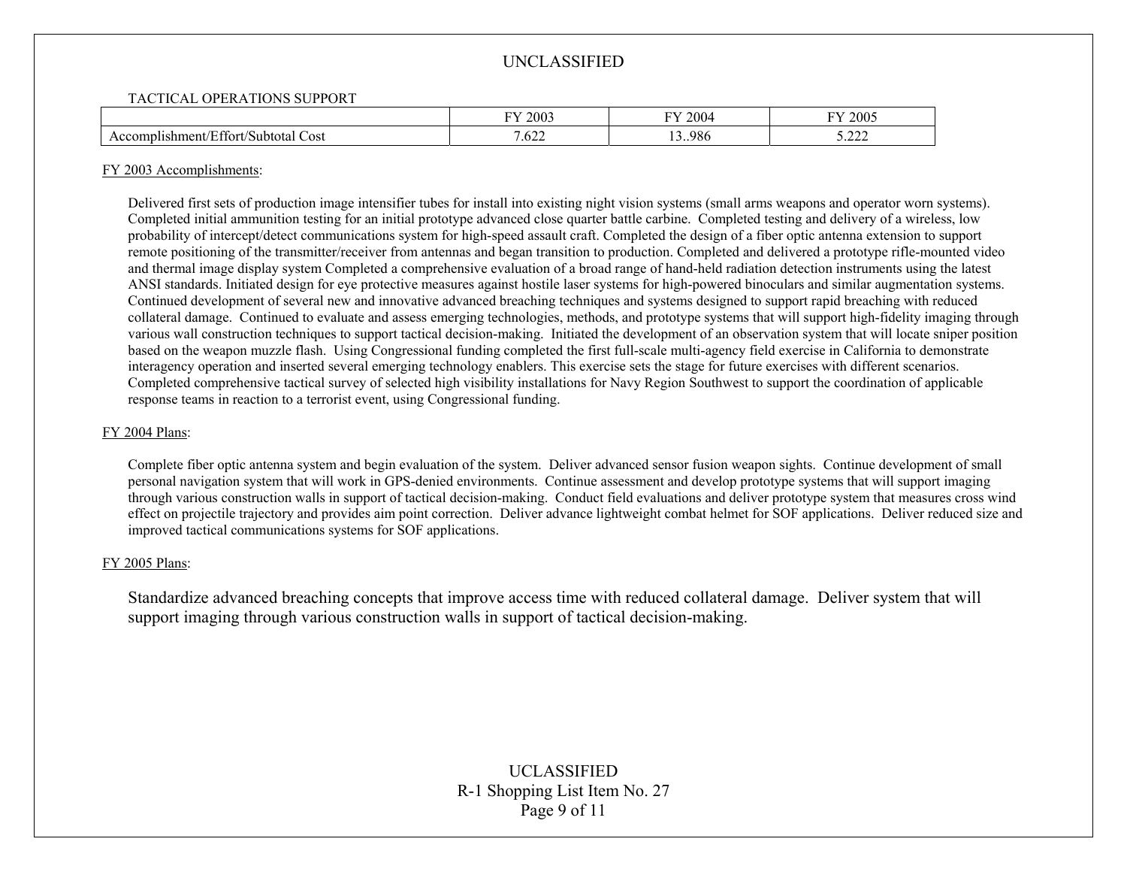## TACTICAL OPERATIONS SUPPORT

|                                                                         | <b>TIT</b><br>2003<br>$\cdot$              | 2004<br>$\mathbf{H}$ | 2005<br>$\cdot$  |
|-------------------------------------------------------------------------|--------------------------------------------|----------------------|------------------|
| $\sim$ $\sim$<br>$\epsilon$<br>Cost<br>ishment/l<br>Subtotal<br>:ttort/ | $\overline{\phantom{a}}$<br>$\sim$<br>.622 | 3.986<br>. .         | $\sim$<br>,,,,,, |

### FY 2003 Accomplishments:

Delivered first sets of production image intensifier tubes for install into existing night vision systems (small arms weapons and operator worn systems). Completed initial ammunition testing for an initial prototype advanced close quarter battle carbine. Completed testing and delivery of a wireless, low probability of intercept/detect communications system for high-speed assault craft. Completed the design of a fiber optic antenna extension to support remote positioning of the transmitter/receiver from antennas and began transition to production. Completed and delivered a prototype rifle-mounted video and thermal image display system Completed a comprehensive evaluation of a broad range of hand-held radiation detection instruments using the latest ANSI standards. Initiated design for eye protective measures against hostile laser systems for high-powered binoculars and similar augmentation systems. Continued development of several new and innovative advanced breaching techniques and systems designed to support rapid breaching with reduced collateral damage. Continued to evaluate and assess emerging technologies, methods, and prototype systems that will support high-fidelity imaging through various wall construction techniques to support tactical decision-making. Initiated the development of an observation system that will locate sniper position based on the weapon muzzle flash. Using Congressional funding completed the first full-scale multi-agency field exercise in California to demonstrate interagency operation and inserted several emerging technology enablers. This exercise sets the stage for future exercises with different scenarios. Completed comprehensive tactical survey of selected high visibility installations for Navy Region Southwest to support the coordination of applicable response teams in reaction to a terrorist event, using Congressional funding.

## FY 2004 Plans:

Complete fiber optic antenna system and begin evaluation of the system. Deliver advanced sensor fusion weapon sights. Continue development of small personal navigation system that will work in GPS-denied environments. Continue assessment and develop prototype systems that will support imaging through various construction walls in support of tactical decision-making. Conduct field evaluations and deliver prototype system that measures cross wind effect on projectile trajectory and provides aim point correction. Deliver advance lightweight combat helmet for SOF applications. Deliver reduced size and improved tactical communications systems for SOF applications.

## FY 2005 Plans:

Standardize advanced breaching concepts that improve access time with reduced collateral damage. Deliver system that will support imaging through various construction walls in support of tactical decision-making.

> UCLASSIFIED R-1 Shopping List Item No. 27 Page 9 of 11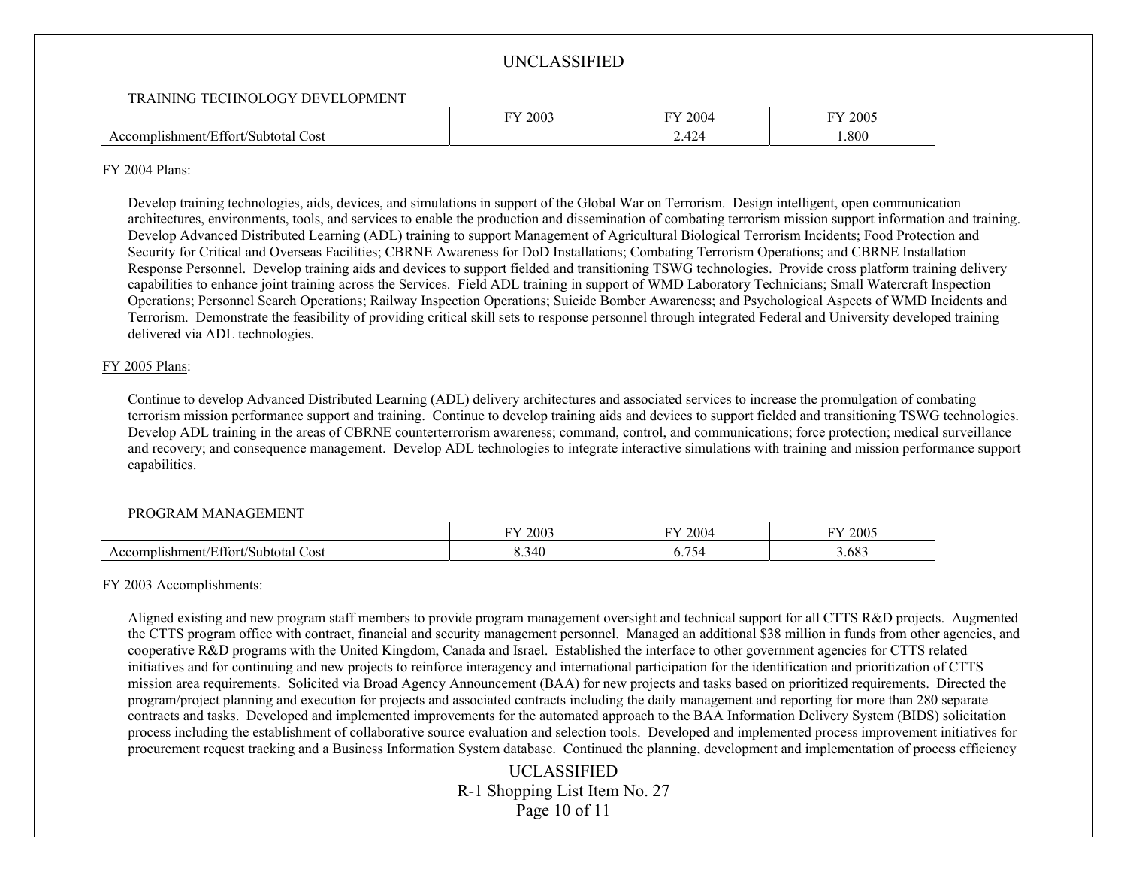#### TRAINING TECHNOLOGY DEVELOPMENT

|                                                                                 | <b>TIT</b><br>2003 | T<br>2004                     | FY 2005 |
|---------------------------------------------------------------------------------|--------------------|-------------------------------|---------|
| $\sim$<br>$\sqrt{ }$<br>ushment/Effort/<br>Cost<br>'Subtotal<br>∠or<br>$\cdots$ |                    | $\Lambda$<br>$\prime$<br>2.TZ | .800    |

### FY 2004 Plans:

Develop training technologies, aids, devices, and simulations in support of the Global War on Terrorism. Design intelligent, open communication architectures, environments, tools, and services to enable the production and dissemination of combating terrorism mission support information and training. Develop Advanced Distributed Learning (ADL) training to support Management of Agricultural Biological Terrorism Incidents; Food Protection and Security for Critical and Overseas Facilities; CBRNE Awareness for DoD Installations; Combating Terrorism Operations; and CBRNE Installation Response Personnel. Develop training aids and devices to support fielded and transitioning TSWG technologies. Provide cross platform training delivery capabilities to enhance joint training across the Services. Field ADL training in support of WMD Laboratory Technicians; Small Watercraft Inspection Operations; Personnel Search Operations; Railway Inspection Operations; Suicide Bomber Awareness; and Psychological Aspects of WMD Incidents and Terrorism. Demonstrate the feasibility of providing critical skill sets to response personnel through integrated Federal and University developed training delivered via ADL technologies.

## FY 2005 Plans:

Continue to develop Advanced Distributed Learning (ADL) delivery architectures and associated services to increase the promulgation of combating terrorism mission performance support and training. Continue to develop training aids and devices to support fielded and transitioning TSWG technologies. Develop ADL training in the areas of CBRNE counterterrorism awareness; command, control, and communications; force protection; medical surveillance and recovery; and consequence management. Develop ADL technologies to integrate interactive simulations with training and mission performance support capabilities.

## PROGRAM MANAGEMENT

|                                                                                                 | 2003<br>T | 2004<br><b>TIT</b> | 2005  |
|-------------------------------------------------------------------------------------------------|-----------|--------------------|-------|
| $\sim$<br>$\sim$ 1 $\Gamma$ $\sim$<br>Cost<br>∧lıshment<br>≠Ettor<br>"Subtotal<br>$.$ or $\sim$ | 8.340     | $-$<br>v.          | 3.683 |

## FY 2003 Accomplishments:

Aligned existing and new program staff members to provide program management oversight and technical support for all CTTS R&D projects. Augmented the CTTS program office with contract, financial and security management personnel. Managed an additional \$38 million in funds from other agencies, and cooperative R&D programs with the United Kingdom, Canada and Israel. Established the interface to other government agencies for CTTS related initiatives and for continuing and new projects to reinforce interagency and international participation for the identification and prioritization of CTTS mission area requirements. Solicited via Broad Agency Announcement (BAA) for new projects and tasks based on prioritized requirements. Directed the program/project planning and execution for projects and associated contracts including the daily management and reporting for more than 280 separate contracts and tasks. Developed and implemented improvements for the automated approach to the BAA Information Delivery System (BIDS) solicitation process including the establishment of collaborative source evaluation and selection tools. Developed and implemented process improvement initiatives for procurement request tracking and a Business Information System database. Continued the planning, development and implementation of process efficiency

> UCLASSIFIED R-1 Shopping List Item No. 27 Page 10 of 11